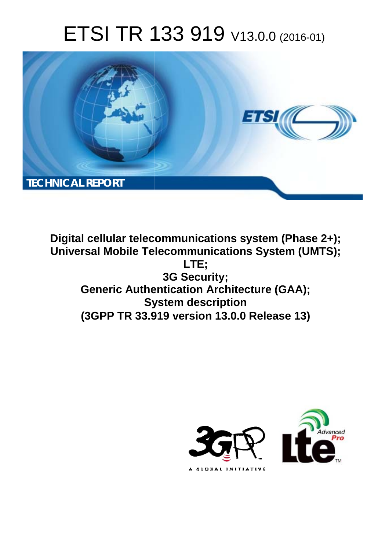# ETSI TR 133 919 V13.0.0 (2016-01)



**Digital cellular telecommunications system (Phase 2+); Universal Mobile Tel elecommunications System ( (UMTS);** Generic Authentication Architecture (GAA); **Sy System description (3GPP TR 33.9 .919 version 13.0.0 Release 13 13) LTE; 3G Security;** 

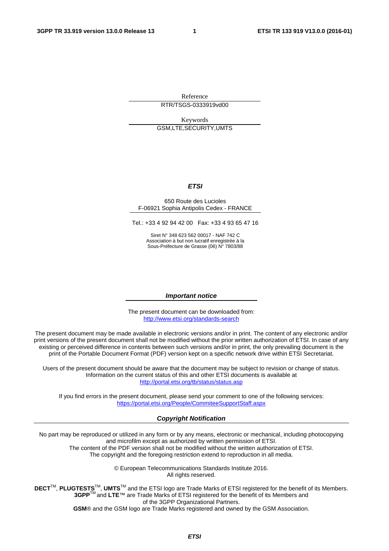Reference RTR/TSGS-0333919vd00

Keywords GSM,LTE,SECURITY,UMTS

#### *ETSI*

#### 650 Route des Lucioles F-06921 Sophia Antipolis Cedex - FRANCE

Tel.: +33 4 92 94 42 00 Fax: +33 4 93 65 47 16

Siret N° 348 623 562 00017 - NAF 742 C Association à but non lucratif enregistrée à la Sous-Préfecture de Grasse (06) N° 7803/88

#### *Important notice*

The present document can be downloaded from: <http://www.etsi.org/standards-search>

The present document may be made available in electronic versions and/or in print. The content of any electronic and/or print versions of the present document shall not be modified without the prior written authorization of ETSI. In case of any existing or perceived difference in contents between such versions and/or in print, the only prevailing document is the print of the Portable Document Format (PDF) version kept on a specific network drive within ETSI Secretariat.

Users of the present document should be aware that the document may be subject to revision or change of status. Information on the current status of this and other ETSI documents is available at <http://portal.etsi.org/tb/status/status.asp>

If you find errors in the present document, please send your comment to one of the following services: <https://portal.etsi.org/People/CommiteeSupportStaff.aspx>

#### *Copyright Notification*

No part may be reproduced or utilized in any form or by any means, electronic or mechanical, including photocopying and microfilm except as authorized by written permission of ETSI.

The content of the PDF version shall not be modified without the written authorization of ETSI. The copyright and the foregoing restriction extend to reproduction in all media.

> © European Telecommunications Standards Institute 2016. All rights reserved.

**DECT**TM, **PLUGTESTS**TM, **UMTS**TM and the ETSI logo are Trade Marks of ETSI registered for the benefit of its Members. **3GPP**TM and **LTE**™ are Trade Marks of ETSI registered for the benefit of its Members and of the 3GPP Organizational Partners.

**GSM**® and the GSM logo are Trade Marks registered and owned by the GSM Association.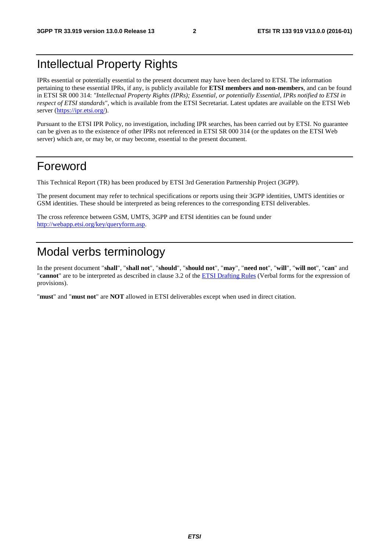## Intellectual Property Rights

IPRs essential or potentially essential to the present document may have been declared to ETSI. The information pertaining to these essential IPRs, if any, is publicly available for **ETSI members and non-members**, and can be found in ETSI SR 000 314: *"Intellectual Property Rights (IPRs); Essential, or potentially Essential, IPRs notified to ETSI in respect of ETSI standards"*, which is available from the ETSI Secretariat. Latest updates are available on the ETSI Web server ([https://ipr.etsi.org/\)](https://ipr.etsi.org/).

Pursuant to the ETSI IPR Policy, no investigation, including IPR searches, has been carried out by ETSI. No guarantee can be given as to the existence of other IPRs not referenced in ETSI SR 000 314 (or the updates on the ETSI Web server) which are, or may be, or may become, essential to the present document.

### Foreword

This Technical Report (TR) has been produced by ETSI 3rd Generation Partnership Project (3GPP).

The present document may refer to technical specifications or reports using their 3GPP identities, UMTS identities or GSM identities. These should be interpreted as being references to the corresponding ETSI deliverables.

The cross reference between GSM, UMTS, 3GPP and ETSI identities can be found under [http://webapp.etsi.org/key/queryform.asp.](http://webapp.etsi.org/key/queryform.asp)

### Modal verbs terminology

In the present document "**shall**", "**shall not**", "**should**", "**should not**", "**may**", "**need not**", "**will**", "**will not**", "**can**" and "**cannot**" are to be interpreted as described in clause 3.2 of the [ETSI Drafting Rules](http://portal.etsi.org/Help/editHelp!/Howtostart/ETSIDraftingRules.aspx) (Verbal forms for the expression of provisions).

"**must**" and "**must not**" are **NOT** allowed in ETSI deliverables except when used in direct citation.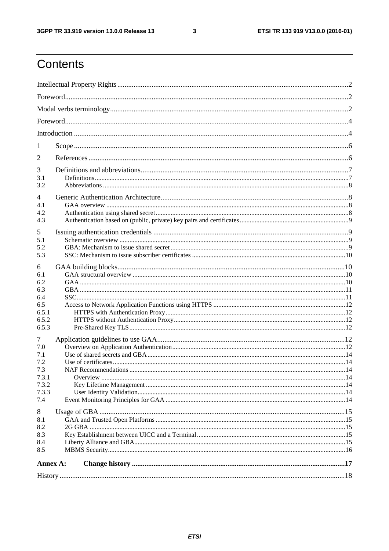$\mathbf{3}$ 

# Contents

| 1          |  |  |  |  |  |
|------------|--|--|--|--|--|
| 2          |  |  |  |  |  |
| 3<br>3.1   |  |  |  |  |  |
| 3.2        |  |  |  |  |  |
| 4          |  |  |  |  |  |
| 4.1<br>4.2 |  |  |  |  |  |
| 4.3        |  |  |  |  |  |
| 5          |  |  |  |  |  |
| 5.1        |  |  |  |  |  |
| 5.2        |  |  |  |  |  |
| 5.3        |  |  |  |  |  |
| 6          |  |  |  |  |  |
| 6.1        |  |  |  |  |  |
| 6.2<br>6.3 |  |  |  |  |  |
| 6.4        |  |  |  |  |  |
| 6.5        |  |  |  |  |  |
| 6.5.1      |  |  |  |  |  |
| 6.5.2      |  |  |  |  |  |
| 6.5.3      |  |  |  |  |  |
| 7          |  |  |  |  |  |
| 7.0        |  |  |  |  |  |
| 7.1        |  |  |  |  |  |
| 7.2        |  |  |  |  |  |
| 7.3        |  |  |  |  |  |
| 7.3.1      |  |  |  |  |  |
| 7.3.2      |  |  |  |  |  |
| 7.3.3      |  |  |  |  |  |
| 7.4        |  |  |  |  |  |
| 8          |  |  |  |  |  |
| 8.1        |  |  |  |  |  |
| 8.2        |  |  |  |  |  |
| 8.3        |  |  |  |  |  |
| 8.4        |  |  |  |  |  |
| 8.5        |  |  |  |  |  |
| Annex A:   |  |  |  |  |  |
|            |  |  |  |  |  |
|            |  |  |  |  |  |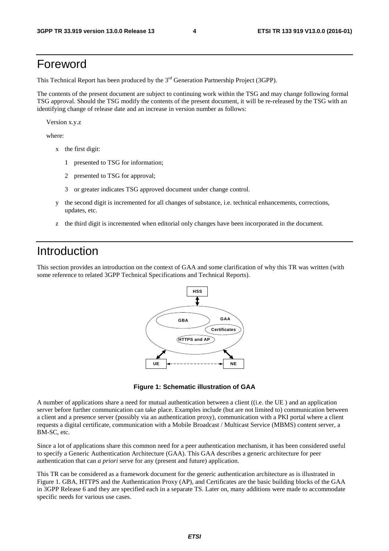### Foreword

This Technical Report has been produced by the  $3<sup>rd</sup>$  Generation Partnership Project (3GPP).

The contents of the present document are subject to continuing work within the TSG and may change following formal TSG approval. Should the TSG modify the contents of the present document, it will be re-released by the TSG with an identifying change of release date and an increase in version number as follows:

Version x.y.z

where:

- x the first digit:
	- 1 presented to TSG for information;
	- 2 presented to TSG for approval;
	- 3 or greater indicates TSG approved document under change control.
- y the second digit is incremented for all changes of substance, i.e. technical enhancements, corrections, updates, etc.
- z the third digit is incremented when editorial only changes have been incorporated in the document.

#### Introduction

This section provides an introduction on the context of GAA and some clarification of why this TR was written (with some reference to related 3GPP Technical Specifications and Technical Reports).



**Figure 1: Schematic illustration of GAA** 

A number of applications share a need for mutual authentication between a client ((i.e. the UE ) and an application server before further communication can take place. Examples include (but are not limited to) communication between a client and a presence server (possibly via an authentication proxy), communication with a PKI portal where a client requests a digital certificate, communication with a Mobile Broadcast / Multicast Service (MBMS) content server, a BM-SC, etc.

Since a lot of applications share this common need for a peer authentication mechanism, it has been considered useful to specify a Generic Authentication Architecture (GAA). This GAA describes a generic architecture for peer authentication that can *a priori* serve for any (present and future) application.

This TR can be considered as a framework document for the generic authentication architecture as is illustrated in Figure 1. GBA, HTTPS and the Authentication Proxy (AP), and Certificates are the basic building blocks of the GAA in 3GPP Release 6 and they are specified each in a separate TS. Later on, many additions were made to accommodate specific needs for various use cases.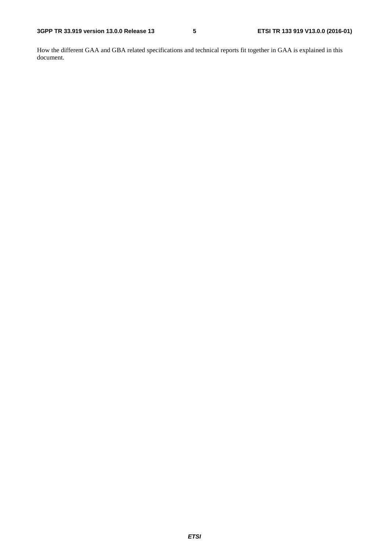How the different GAA and GBA related specifications and technical reports fit together in GAA is explained in this document.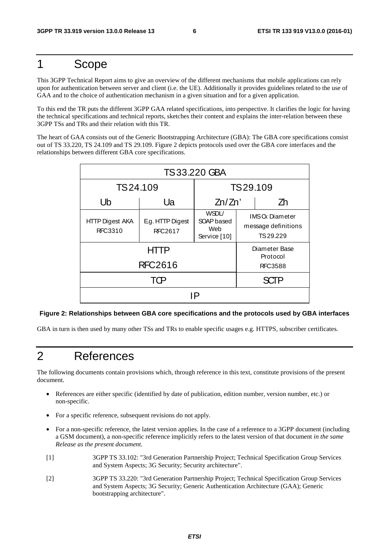### 1 Scope

This 3GPP Technical Report aims to give an overview of the different mechanisms that mobile applications can rely upon for authentication between server and client (i.e. the UE). Additionally it provides guidelines related to the use of GAA and to the choice of authentication mechanism in a given situation and for a given application.

To this end the TR puts the different 3GPP GAA related specifications, into perspective. It clarifies the logic for having the technical specifications and technical reports, sketches their content and explains the inter-relation between these 3GPP TSs and TRs and their relation with this TR.

The heart of GAA consists out of the Generic Bootstrapping Architecture (GBA): The GBA core specifications consist out of TS 33.220, TS 24.109 and TS 29.109. Figure 2 depicts protocols used over the GBA core interfaces and the relationships between different GBA core specifications.

| <b>TS33.220 GBA</b>               |                                             |                                            |                                                          |    |
|-----------------------------------|---------------------------------------------|--------------------------------------------|----------------------------------------------------------|----|
| TS24.109                          |                                             | TS29.109                                   |                                                          |    |
| Ub                                | Ua                                          |                                            |                                                          | Zh |
| <b>HTTP Digest AKA</b><br>RFC3310 | E.g. HTTP Digest<br><b>RFC2617</b>          | WSDL/<br>SOAP based<br>Web<br>Service [10] | <b>IMSC</b> Diameter<br>message definitions<br>TS 29.229 |    |
| <b>RFC2616</b>                    | Diameter Base<br>Protocol<br><b>RFC3588</b> |                                            |                                                          |    |
|                                   |                                             | SCTP                                       |                                                          |    |
| IP                                |                                             |                                            |                                                          |    |

#### **Figure 2: Relationships between GBA core specifications and the protocols used by GBA interfaces**

GBA in turn is then used by many other TSs and TRs to enable specific usages e.g. HTTPS, subscriber certificates.

### 2 References

The following documents contain provisions which, through reference in this text, constitute provisions of the present document.

- References are either specific (identified by date of publication, edition number, version number, etc.) or non-specific.
- For a specific reference, subsequent revisions do not apply.
- For a non-specific reference, the latest version applies. In the case of a reference to a 3GPP document (including a GSM document), a non-specific reference implicitly refers to the latest version of that document *in the same Release as the present document*.
- [1] 3GPP TS 33.102: "3rd Generation Partnership Project; Technical Specification Group Services and System Aspects; 3G Security; Security architecture".
- [2] 3GPP TS 33.220: "3rd Generation Partnership Project; Technical Specification Group Services and System Aspects; 3G Security; Generic Authentication Architecture (GAA); Generic bootstrapping architecture".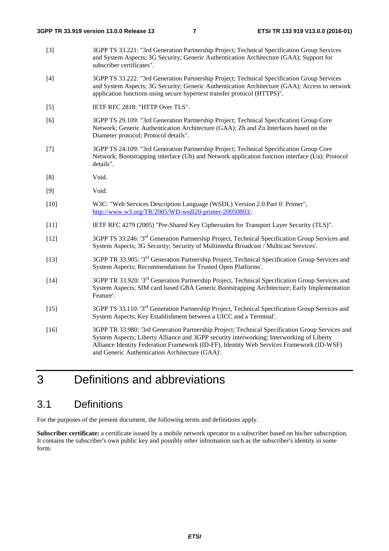- [3] 3GPP TS 33.221: "3rd Generation Partnership Project; Technical Specification Group Services and System Aspects; 3G Security; Generic Authentication Architecture (GAA); Support for subscriber certificates".
- [4] 3GPP TS 33.222: "3rd Generation Partnership Project; Technical Specification Group Services and System Aspects; 3G Security; Generic Authentication Architecture (GAA); Access to network application functions using secure hypertext transfer protocol (HTTPS)".
- [5] IETF RFC 2818: "HTTP Over TLS".
- [6] 3GPP TS 29.109: "3rd Generation Partnership Project; Technical Specification Group Core Network; Generic Authentication Architecture (GAA); Zh and Zn Interfaces based on the Diameter protocol; Protocol details".
- [7] 3GPP TS 24.109: "3rd Generation Partnership Project; Technical Specification Group Core Network; Bootstrapping interface (Ub) and Network application function interface (Ua); Protocol details".
- [8] Void.
- [9] Void.
- [10] W3C: "Web Services Description Language (WSDL) Version 2.0 Part 0: Primer", [http://www.w3.org/TR/2005/WD-wsdl20-primer-20050803/.](http://www.w3.org/TR/2005/WD-wsdl20-primer-20050803/)
- [11] IETF RFC 4279 (2005) "Pre-Shared Key Ciphersuites for Transport Layer Security (TLS)".
- [12] 3GPP TS 33.246: '3rd Generation Partnership Project, Technical Specification Group Services and System Aspects; 3G Security; Security of Multimedia Broadcast / Multicast Services'.
- [13] 3GPP TR 33.905: '3rd Generation Partnership Project, Technical Specification Group Services and System Aspects; Recommendations for Trusted Open Platforms'.
- [14] 3GPP TR 33.920: '3rd Generation Partnership Project, Technical Specification Group Services and System Aspects; SIM card based GBA Generic Bootstrapping Architecture; Early Implementation Feature'.
- [15] 3GPP TS 33.110: '3rd Generation Partnership Project, Technical Specification Group Services and System Aspects; Key Establishment between a UICC and a Terminal'.
- [16] 3GPP TR 33.980: '3rd Generation Partnership Project; Technical Specification Group Services and System Aspects; Liberty Alliance and 3GPP security interworking; Interworking of Liberty Alliance Identity Federation Framework (ID-FF), Identity Web Services Framework (ID-WSF) and Generic Authentication Architecture (GAA)'.

# 3 Definitions and abbreviations

#### 3.1 Definitions

For the purposes of the present document, the following terms and definitions apply.

**Subscriber certificate:** a certificate issued by a mobile network operator to a subscriber based on his/her subscription. It contains the subscriber's own public key and possibly other information such as the subscriber's identity in some form.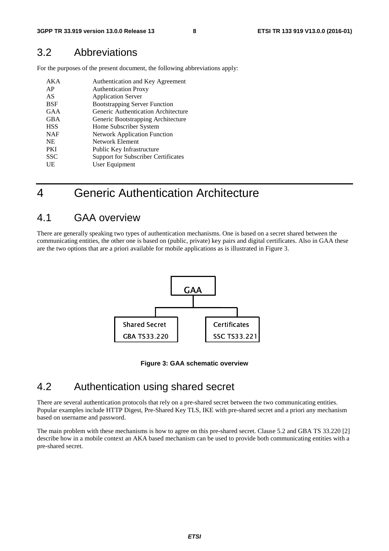#### 3.2 Abbreviations

For the purposes of the present document, the following abbreviations apply:

| AK A       | Authentication and Key Agreement           |
|------------|--------------------------------------------|
| AP         | <b>Authentication Proxy</b>                |
| AS         | <b>Application Server</b>                  |
| BSF        | <b>Bootstrapping Server Function</b>       |
| GAA        | Generic Authentication Architecture        |
| <b>GBA</b> | Generic Bootstrapping Architecture         |
| <b>HSS</b> | Home Subscriber System                     |
| <b>NAF</b> | <b>Network Application Function</b>        |
| <b>NE</b>  | Network Element                            |
| <b>PKI</b> | Public Key Infrastructure                  |
| <b>SSC</b> | <b>Support for Subscriber Certificates</b> |
| UE         | User Equipment                             |

## 4 Generic Authentication Architecture

### 4.1 GAA overview

There are generally speaking two types of authentication mechanisms. One is based on a secret shared between the communicating entities, the other one is based on (public, private) key pairs and digital certificates. Also in GAA these are the two options that are a priori available for mobile applications as is illustrated in Figure 3.



**Figure 3: GAA schematic overview** 

#### 4.2 Authentication using shared secret

Figure 3:<br>
fion using<br>
protocols that rely<br>
Digest, Pre-Share<br>
L. Friendon<br>Solve the Secret between the with pre-shared There are several authentication protocols that rely on a pre-shared secret between the two communicating entities. Popular examples include HTTP Digest, Pre-Shared Key TLS, IKE with pre-shared secret and a priori any mechanism based on username and password.

The main problem with these mechanisms is how to agree on this pre-shared secret. Clause 5.2 and GBA TS 33.220 [2] describe how in a mobile context an AKA based mechanism can be used to provide both communicating entities with a pre-shared secret.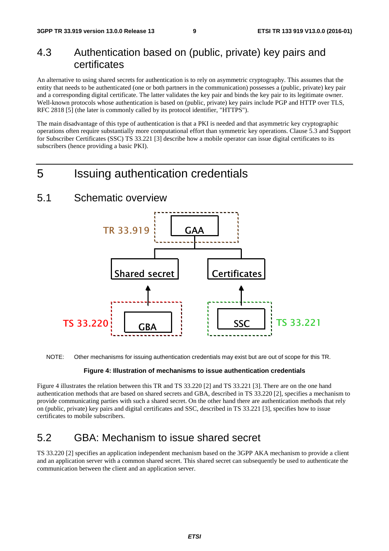#### 4.3 Authentication based on (public, private) key pairs and certificates

An alternative to using shared secrets for authentication is to rely on asymmetric cryptography. This assumes that the entity that needs to be authenticated (one or both partners in the communication) possesses a (public, private) key pair and a corresponding digital certificate. The latter validates the key pair and binds the key pair to its legitimate owner. Well-known protocols whose authentication is based on (public, private) key pairs include PGP and HTTP over TLS, RFC 2818 [5] (the later is commonly called by its protocol identifier, "HTTPS").

The main disadvantage of this type of authentication is that a PKI is needed and that asymmetric key cryptographic operations often require substantially more computational effort than symmetric key operations. Clause 5.3 and Support for Subscriber Certificates (SSC) TS 33.221 [3] describe how a mobile operator can issue digital certificates to its subscribers (hence providing a basic PKI).

### 5 Issuing authentication credentials

#### 5.1 Schematic overview



NOTE: Other mechanisms for issuing authentication credentials may exist but are out of scope for this TR.

#### **Figure 4: Illustration of mechanisms to issue authentication credentials**

Figure 4 illustrates the relation between this TR and TS 33.220 [2] and TS 33.221 [3]. There are on the one hand authentication methods that are based on shared secrets and GBA, described in TS 33.220 [2], specifies a mechanism to provide communicating parties with such a shared secret. On the other hand there are authentication methods that rely on (public, private) key pairs and digital certificates and SSC, described in TS 33.221 [3], specifies how to issue certificates to mobile subscribers.

#### 5.2 GBA: Mechanism to issue shared secret

TS 33.220 [2] specifies an application independent mechanism based on the 3GPP AKA mechanism to provide a client and an application server with a common shared secret. This shared secret can subsequently be used to authenticate the communication between the client and an application server.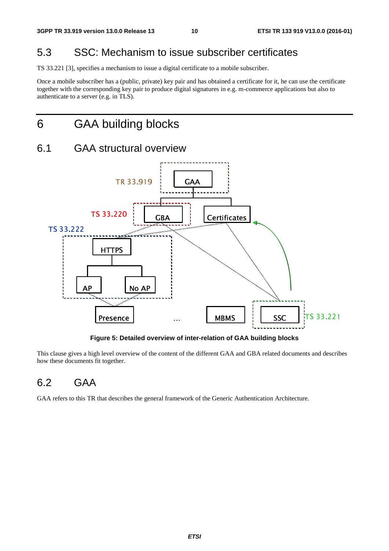#### 5.3 SSC: Mechanism to issue subscriber certificates

TS 33.221 [3], specifies a mechanism to issue a digital certificate to a mobile subscriber.

Once a mobile subscriber has a (public, private) key pair and has obtained a certificate for it, he can use the certificate together with the corresponding key pair to produce digital signatures in e.g. m-commerce applications but also to authenticate to a server (e.g. in TLS).

### 6 GAA building blocks

# 6.1 GAA structural overview



**Figure 5: Detailed overview of inter-relation of GAA building blocks** 

This clause gives a high level overview of the content of the different GAA and GBA related documents and describes how these documents fit together. France Contract CAA building blow<br>that GAA and GBA related do<br>difference Authentication Arch **Presence**<br>**presence**<br>**presence**<br>**presence**<br>**presence**<br>**presence**<br>**presence**<br>**presence** 

#### 6.2 GAA

GAA refers to this TR that describes the general framework of the Generic Authentication Architecture.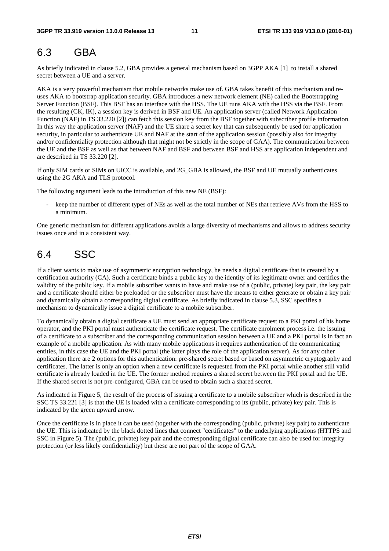#### 6.3 GBA

As briefly indicated in clause 5.2, GBA provides a general mechanism based on 3GPP AKA [1] to install a shared secret between a UE and a server.

AKA is a very powerful mechanism that mobile networks make use of. GBA takes benefit of this mechanism and reuses AKA to bootstrap application security. GBA introduces a new network element (NE) called the Bootstrapping Server Function (BSF). This BSF has an interface with the HSS. The UE runs AKA with the HSS via the BSF. From the resulting (CK, IK), a session key is derived in BSF and UE. An application server (called Network Application Function (NAF) in TS 33.220 [2]) can fetch this session key from the BSF together with subscriber profile information. In this way the application server (NAF) and the UE share a secret key that can subsequently be used for application security, in particular to authenticate UE and NAF at the start of the application session (possibly also for integrity and/or confidentiality protection although that might not be strictly in the scope of GAA). The communication between the UE and the BSF as well as that between NAF and BSF and between BSF and HSS are application independent and are described in TS 33.220 [2].

If only SIM cards or SIMs on UICC is available, and 2G\_GBA is allowed, the BSF and UE mutually authenticates using the 2G AKA and TLS protocol.

The following argument leads to the introduction of this new NE (BSF):

keep the number of different types of NEs as well as the total number of NEs that retrieve AVs from the HSS to a minimum.

One generic mechanism for different applications avoids a large diversity of mechanisms and allows to address security issues once and in a consistent way.

### 6.4 SSC

If a client wants to make use of asymmetric encryption technology, he needs a digital certificate that is created by a certification authority (CA). Such a certificate binds a public key to the identity of its legitimate owner and certifies the validity of the public key. If a mobile subscriber wants to have and make use of a (public, private) key pair, the key pair and a certificate should either be preloaded or the subscriber must have the means to either generate or obtain a key pair and dynamically obtain a corresponding digital certificate. As briefly indicated in clause 5.3, SSC specifies a mechanism to dynamically issue a digital certificate to a mobile subscriber.

To dynamically obtain a digital certificate a UE must send an appropriate certificate request to a PKI portal of his home operator, and the PKI portal must authenticate the certificate request. The certificate enrolment process i.e. the issuing of a certificate to a subscriber and the corresponding communication session between a UE and a PKI portal is in fact an example of a mobile application. As with many mobile applications it requires authentication of the communicating entities, in this case the UE and the PKI portal (the latter plays the role of the application server). As for any other application there are 2 options for this authentication: pre-shared secret based or based on asymmetric cryptography and certificates. The latter is only an option when a new certificate is requested from the PKI portal while another still valid certificate is already loaded in the UE. The former method requires a shared secret between the PKI portal and the UE. If the shared secret is not pre-configured, GBA can be used to obtain such a shared secret.

As indicated in Figure 5, the result of the process of issuing a certificate to a mobile subscriber which is described in the SSC TS 33.221 [3] is that the UE is loaded with a certificate corresponding to its (public, private) key pair. This is indicated by the green upward arrow.

Once the certificate is in place it can be used (together with the corresponding (public, private) key pair) to authenticate the UE. This is indicated by the black dotted lines that connect "certificates" to the underlying applications (HTTPS and SSC in Figure 5). The (public, private) key pair and the corresponding digital certificate can also be used for integrity protection (or less likely confidentiality) but these are not part of the scope of GAA.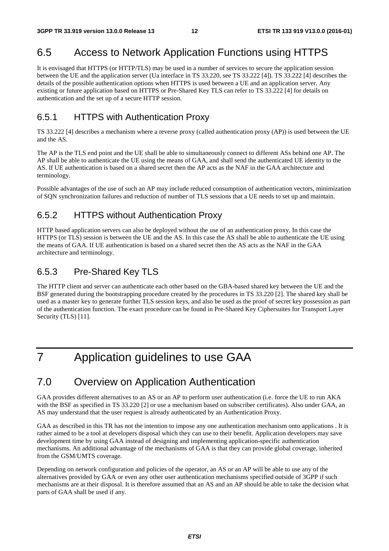### 6.5 Access to Network Application Functions using HTTPS

It is envisaged that HTTPS (or HTTP/TLS) may be used in a number of services to secure the application session between the UE and the application server (Ua interface in TS 33.220, see TS 33.222 [4]). TS 33.222 [4] describes the details of the possible authentication options when HTTPS is used between a UE and an application server. Any existing or future application based on HTTPS or Pre-Shared Key TLS can refer to TS 33.222 [4] for details on authentication and the set up of a secure HTTP session.

#### 6.5.1 HTTPS with Authentication Proxy

TS 33.222 [4] describes a mechanism where a reverse proxy (called authentication proxy (AP)) is used between the UE and the AS.

The AP is the TLS end point and the UE shall be able to simultaneously connect to different ASs behind one AP. The AP shall be able to authenticate the UE using the means of GAA, and shall send the authenticated UE identity to the AS. If UE authentication is based on a shared secret then the AP acts as the NAF in the GAA architecture and terminology.

Possible advantages of the use of such an AP may include reduced consumption of authentication vectors, minimization of SQN synchronization failures and reduction of number of TLS sessions that a UE needs to set up and maintain.

#### 6.5.2 HTTPS without Authentication Proxy

HTTP based application servers can also be deployed without the use of an authentication proxy. In this case the HTTPS (or TLS) session is between the UE and the AS. In this case the AS shall be able to authenticate the UE using the means of GAA. If UE authentication is based on a shared secret then the AS acts as the NAF in the GAA architecture and terminology.

#### 6.5.3 Pre-Shared Key TLS

The HTTP client and server can authenticate each other based on the GBA-based shared key between the UE and the BSF generated during the bootstrapping procedure created by the procedures in TS 33.220 [2]. The shared key shall be used as a master key to generate further TLS session keys, and also be used as the proof of secret key possession as part of the authentication function. The exact procedure can be found in Pre-Shared Key Ciphersuites for Transport Layer Security (TLS) [11].

# 7 Application guidelines to use GAA

### 7.0 Overview on Application Authentication

GAA provides different alternatives to an AS or an AP to perform user authentication (i.e. force the UE to run AKA with the BSF as specified in TS 33.220 [2] or use a mechanism based on subscriber certificates). Also under GAA, an AS may understand that the user request is already authenticated by an Authentication Proxy.

GAA as described in this TR has not the intention to impose any one authentication mechanism onto applications . It is rather aimed to be a tool at developers disposal which they can use to their benefit. Application developers may save development time by using GAA instead of designing and implementing application-specific authentication mechanisms. An additional advantage of the mechanisms of GAA is that they can provide global coverage, inherited from the GSM/UMTS coverage.

Depending on network configuration and policies of the operator, an AS or an AP will be able to use any of the alternatives provided by GAA or even any other user authentication mechanisms specified outside of 3GPP if such mechanisms are at their disposal. It is therefore assumed that an AS and an AP should be able to take the decision what parts of GAA shall be used if any.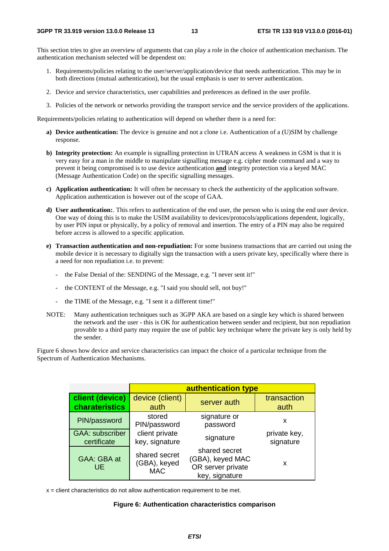This section tries to give an overview of arguments that can play a role in the choice of authentication mechanism. The authentication mechanism selected will be dependent on:

- 1. Requirements/policies relating to the user/server/application/device that needs authentication. This may be in both directions (mutual authentication), but the usual emphasis is user to server authentication.
- 2. Device and service characteristics, user capabilities and preferences as defined in the user profile.
- 3. Policies of the network or networks providing the transport service and the service providers of the applications.

Requirements/policies relating to authentication will depend on whether there is a need for:

- **a) Device authentication:** The device is genuine and not a clone i.e. Authentication of a (U)SIM by challenge response.
- **b) Integrity protection:** An example is signalling protection in UTRAN access A weakness in GSM is that it is very easy for a man in the middle to manipulate signalling message e.g. cipher mode command and a way to prevent it being compromised is to use device authentication **and** integrity protection via a keyed MAC (Message Authentication Code) on the specific signalling messages.
- **c) Application authentication:** It will often be necessary to check the authenticity of the application software. Application authentication is however out of the scope of GAA.
- **d) User authentication:**. This refers to authentication of the end user, the person who is using the end user device. One way of doing this is to make the USIM availability to devices/protocols/applications dependent, logically, by user PIN input or physically, by a policy of removal and insertion. The entry of a PIN may also be required before access is allowed to a specific application.
- **e) Transaction authentication and non-repudiation:** For some business transactions that are carried out using the mobile device it is necessary to digitally sign the transaction with a users private key, specifically where there is a need for non repudiation i.e. to prevent:
	- the False Denial of the: SENDING of the Message, e.g. "I never sent it!"
	- the CONTENT of the Message, e.g. "I said you should sell, not buy!"
	- the TIME of the Message, e.g. "I sent it a different time!"
- NOTE: Many authentication techniques such as 3GPP AKA are based on a single key which is shared between the network and the user - this is OK for authentication between sender and recipient, but non repudiation provable to a third party may require the use of public key technique where the private key is only held by the sender.

Figure 6 shows how device and service characteristics can impact the choice of a particular technique from the Spectrum of Authentication Mechanisms.

|                                       | authentication type                         |                                                                          |                           |  |
|---------------------------------------|---------------------------------------------|--------------------------------------------------------------------------|---------------------------|--|
| client (device)<br>charateristics     | device (client)<br>auth                     | server auth                                                              | transaction<br>auth       |  |
| PIN/password                          | stored<br>PIN/password                      | signature or<br>password                                                 | x                         |  |
| <b>GAA: subscriber</b><br>certificate | client private<br>key, signature            | signature                                                                | private key,<br>signature |  |
| GAA: GBA at<br>UE.                    | shared secret<br>(GBA), keyed<br><b>MAC</b> | shared secret<br>(GBA), keyed MAC<br>OR server private<br>key, signature | x                         |  |

 $x =$  client characteristics do not allow authentication requirement to be met.

#### **Figure 6: Authentication characteristics comparison**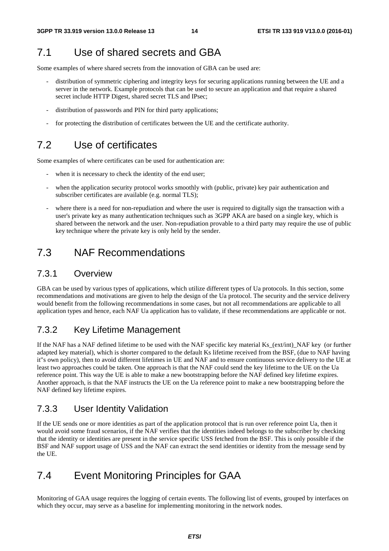#### 7.1 Use of shared secrets and GBA

Some examples of where shared secrets from the innovation of GBA can be used are:

- distribution of symmetric ciphering and integrity keys for securing applications running between the UE and a server in the network. Example protocols that can be used to secure an application and that require a shared secret include HTTP Digest, shared secret TLS and IPsec;
- distribution of passwords and PIN for third party applications;
- for protecting the distribution of certificates between the UE and the certificate authority.

#### 7.2 Use of certificates

Some examples of where certificates can be used for authentication are:

- when it is necessary to check the identity of the end user;
- when the application security protocol works smoothly with (public, private) key pair authentication and subscriber certificates are available (e.g. normal TLS);
- where there is a need for non-repudiation and where the user is required to digitally sign the transaction with a user's private key as many authentication techniques such as 3GPP AKA are based on a single key, which is shared between the network and the user. Non-repudiation provable to a third party may require the use of public key technique where the private key is only held by the sender.

#### 7.3 NAF Recommendations

#### 7.3.1 Overview

GBA can be used by various types of applications, which utilize different types of Ua protocols. In this section, some recommendations and motivations are given to help the design of the Ua protocol. The security and the service delivery would benefit from the following recommendations in some cases, but not all recommendations are applicable to all application types and hence, each NAF Ua application has to validate, if these recommendations are applicable or not.

#### 7.3.2 Key Lifetime Management

If the NAF has a NAF defined lifetime to be used with the NAF specific key material Ks\_(ext/int)\_NAF key (or further adapted key material), which is shorter compared to the default Ks lifetime received from the BSF, (due to NAF having it"s own policy), then to avoid different lifetimes in UE and NAF and to ensure continuous service delivery to the UE at least two approaches could be taken. One approach is that the NAF could send the key lifetime to the UE on the Ua reference point. This way the UE is able to make a new bootstrapping before the NAF defined key lifetime expires. Another approach, is that the NAF instructs the UE on the Ua reference point to make a new bootstrapping before the NAF defined key lifetime expires.

#### 7.3.3 User Identity Validation

If the UE sends one or more identities as part of the application protocol that is run over reference point Ua, then it would avoid some fraud scenarios, if the NAF verifies that the identities indeed belongs to the subscriber by checking that the identity or identities are present in the service specific USS fetched from the BSF. This is only possible if the BSF and NAF support usage of USS and the NAF can extract the send identities or identity from the message send by the UE.

#### 7.4 Event Monitoring Principles for GAA

Monitoring of GAA usage requires the logging of certain events. The following list of events, grouped by interfaces on which they occur, may serve as a baseline for implementing monitoring in the network nodes.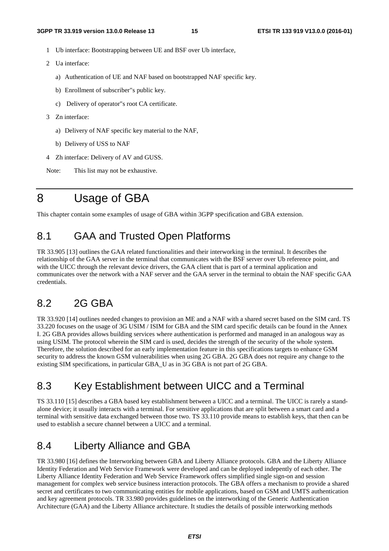- 1 Ub interface: Bootstrapping between UE and BSF over Ub interface,
- 2 Ua interface:
	- a) Authentication of UE and NAF based on bootstrapped NAF specific key.
	- b) Enrollment of subscriber"s public key.
	- c) Delivery of operator"s root CA certificate.
- 3 Zn interface:
	- a) Delivery of NAF specific key material to the NAF,
	- b) Delivery of USS to NAF
- 4 Zh interface: Delivery of AV and GUSS.

Note: This list may not be exhaustive.

# 8 Usage of GBA

This chapter contain some examples of usage of GBA within 3GPP specification and GBA extension.

#### 8.1 GAA and Trusted Open Platforms

TR 33.905 [13] outlines the GAA related functionalities and their interworking in the terminal. It describes the relationship of the GAA server in the terminal that communicates with the BSF server over Ub reference point, and with the UICC through the relevant device drivers, the GAA client that is part of a terminal application and communicates over the network with a NAF server and the GAA server in the terminal to obtain the NAF specific GAA credentials.

#### 8.2 2G GBA

TR 33.920 [14] outlines needed changes to provision an ME and a NAF with a shared secret based on the SIM card. TS 33.220 focuses on the usage of 3G USIM / ISIM for GBA and the SIM card specific details can be found in the Annex I. 2G GBA provides allows building services where authentication is performed and managed in an analogous way as using USIM. The protocol wherein the SIM card is used, decides the strength of the security of the whole system. Therefore, the solution described for an early implementation feature in this specifications targets to enhance GSM security to address the known GSM vulnerabilities when using 2G GBA. 2G GBA does not require any change to the existing SIM specifications, in particular GBA\_U as in 3G GBA is not part of 2G GBA.

#### 8.3 Key Establishment between UICC and a Terminal

TS 33.110 [15] describes a GBA based key establishment between a UICC and a terminal. The UICC is rarely a standalone device; it usually interacts with a terminal. For sensitive applications that are split between a smart card and a terminal with sensitive data exchanged between those two. TS 33.110 provide means to establish keys, that then can be used to establish a secure channel between a UICC and a terminal.

### 8.4 Liberty Alliance and GBA

TR 33.980 [16] defines the Interworking between GBA and Liberty Alliance protocols. GBA and the Liberty Alliance Identity Federation and Web Service Framework were developed and can be deployed indepently of each other. The Liberty Alliance Identity Federation and Web Service Framework offers simplified single sign-on and session management for complex web service business interaction protocols. The GBA offers a mechanism to provide a shared secret and certificates to two communicating entities for mobile applications, based on GSM and UMTS authentication and key agreement protocols. TR 33.980 provides guidelines on the interworking of the Generic Authentication Architecture (GAA) and the Liberty Alliance architecture. It studies the details of possible interworking methods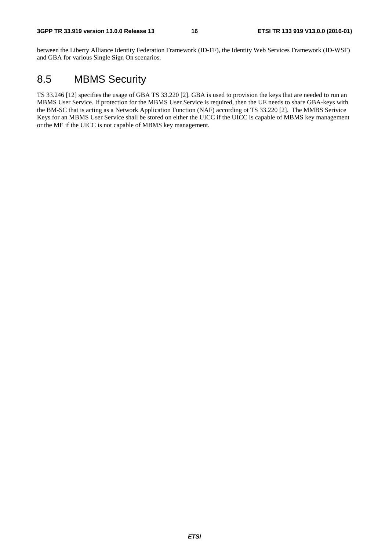between the Liberty Alliance Identity Federation Framework (ID-FF), the Identity Web Services Framework (ID-WSF) and GBA for various Single Sign On scenarios.

### 8.5 MBMS Security

TS 33.246 [12] specifies the usage of GBA TS 33.220 [2]. GBA is used to provision the keys that are needed to run an MBMS User Service. If protection for the MBMS User Service is required, then the UE needs to share GBA-keys with the BM-SC that is acting as a Network Application Function (NAF) according ot TS 33.220 [2]. The MMBS Serivice Keys for an MBMS User Service shall be stored on either the UICC if the UICC is capable of MBMS key management or the ME if the UICC is not capable of MBMS key management.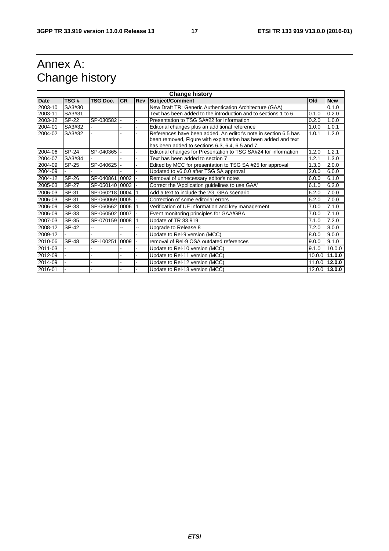# Annex A: Change history

| <b>Change history</b> |              |                |           |    |                                                                         |        |               |
|-----------------------|--------------|----------------|-----------|----|-------------------------------------------------------------------------|--------|---------------|
| <b>Date</b>           | TSG#         | TSG Doc.       | <b>CR</b> |    | <b>Rev Subject/Comment</b>                                              | Old    | <b>New</b>    |
| 2003-10               | SA3#30       |                |           |    | New Draft TR: Generic Authentication Architecture (GAA)                 |        | 0.1.0         |
| 2003-11               | SA3#31       |                |           |    | Text has been added to the introduction and to sections 1 to 6<br>0.1.0 |        | 0.2.0         |
| 2003-12               | SP-22        | SP-030582 -    |           |    | Presentation to TSG SA#22 for Information<br>0.2.0                      |        | 1.0.0         |
| 2004-01               | SA3#32       |                |           |    | Editorial changes plus an additional reference                          | 1.0.0  | 1.0.1         |
| 2004-02               | SA3#32       |                |           |    | References have been added. An editor's note in section 6.5 has         | 1.0.1  | 1.2.0         |
|                       |              |                |           |    | been removed, Figure with explanation has been added and text           |        |               |
|                       |              |                |           |    | has been added to sections 6.3, 6.4, 6.5 and 7.                         |        |               |
| 2004-06               | <b>SP-24</b> | SP-040365      |           |    | Editorial changes for Presentation to TSG SA#24 for information         | 1.2.0  | 1.2.1         |
| 2004-07               | SA3#34       |                |           |    | Text has been added to section 7                                        | 1.2.1  | 1.3.0         |
| 2004-09               | SP-25        | SP-040625  -   |           |    | Edited by MCC for presentation to TSG SA #25 for approval               | 1.3.0  | 2.0.0         |
| 2004-09               |              |                |           |    | Updated to v6.0.0 after TSG SA approval                                 | 2.0.0  | 6.0.0         |
| 2004-12               | SP-26        | SP-040861 0002 |           |    | Removal of unnecessary editor's notes                                   | 6.0.0  | 6.1.0         |
| 2005-03               | <b>SP-27</b> | SP-050140 0003 |           |    | Correct the 'Application guidelines to use GAA'                         | 6.1.0  | 6.2.0         |
| 2006-03               | SP-31        | SP-060218 0004 |           |    | Add a text to include the 2G GBA scenario                               | 6.2.0  | 7.0.0         |
| 2006-03               | SP-31        | SP-060069 0005 |           |    | Correction of some editorial errors                                     | 6.2.0  | 7.0.0         |
| 2006-09               | SP-33        | SP-060662 0006 |           |    | Verification of UE information and key management                       | 7.0.0  | 7.1.0         |
| 2006-09               | SP-33        | SP-060502 0007 |           |    | Event monitoring principles for GAA/GBA                                 | 7.0.0  | 7.1.0         |
| 2007-03               | SP-35        | SP-070159 0008 |           |    | Update of TR 33.919                                                     | 7.1.0  | 7.2.0         |
| 2008-12               | SP-42        |                | ۵.        | -- | Upgrade to Release 8                                                    | 7.2.0  | 8.0.0         |
| 2009-12               |              |                |           |    | Update to Rel-9 version (MCC)                                           | 8.0.0  | 9.0.0         |
| 2010-06               | <b>SP-48</b> | SP-100251      | 0009      |    | removal of Rel-9 OSA outdated references                                | 9.0.0  | 9.1.0         |
| 2011-03               |              |                |           |    | Update to Rel-10 version (MCC)                                          | 9.1.0  | 10.0.0        |
| 2012-09               |              |                |           |    | Update to Rel-11 version (MCC)                                          | 10.0.0 | 11.0.0        |
| 2014-09               |              |                |           |    | Update to Rel-12 version (MCC)                                          |        | 11.0.0 12.0.0 |
| 2016-01               |              |                |           |    | Update to Rel-13 version (MCC)                                          |        | 12.0.0 13.0.0 |